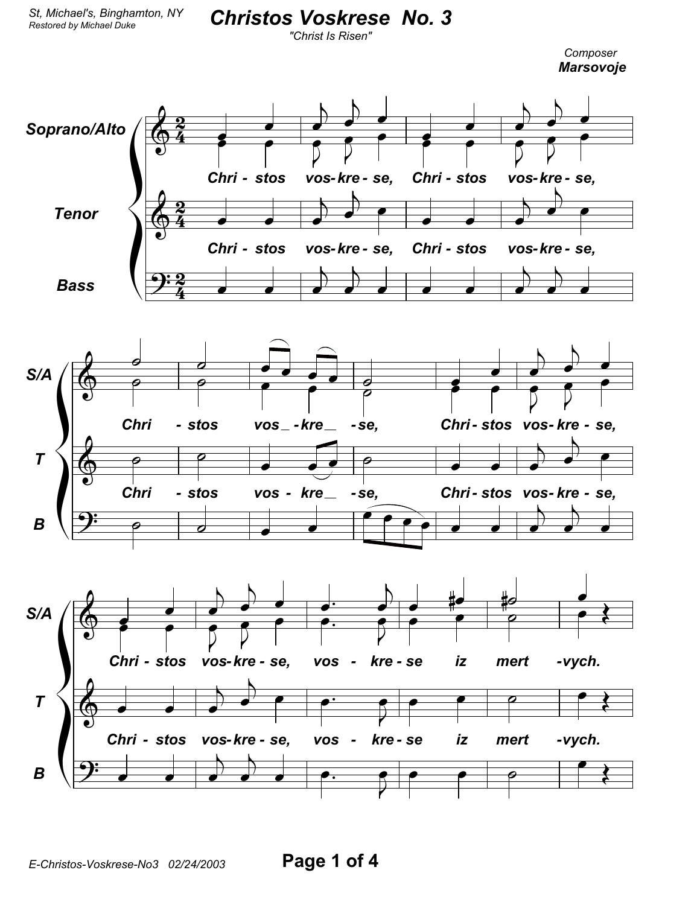## **Christos Voskrese No. 3**

"Christ Is Risen"

Composer **Marsovoje** 

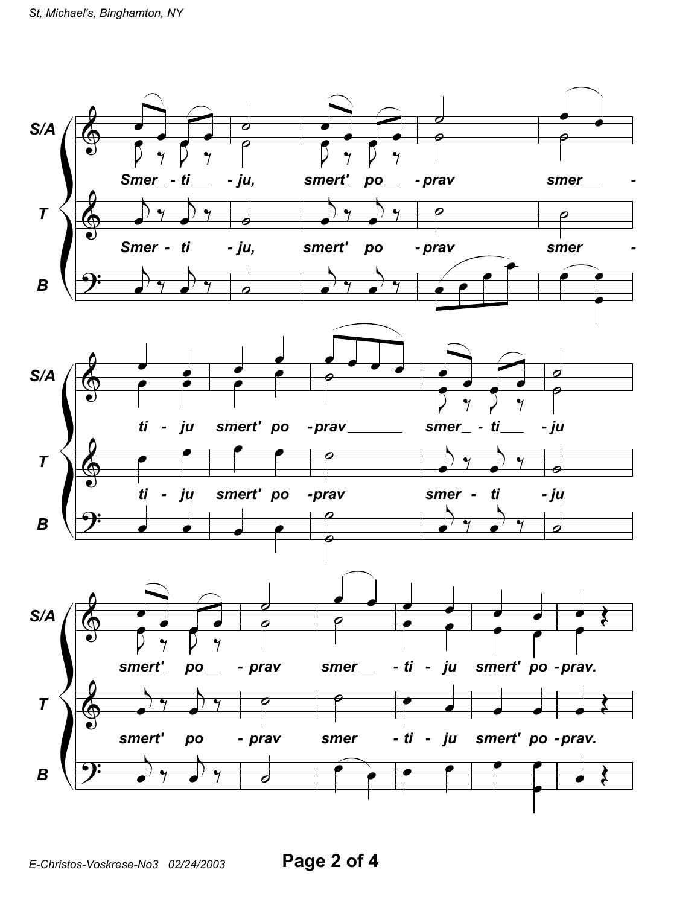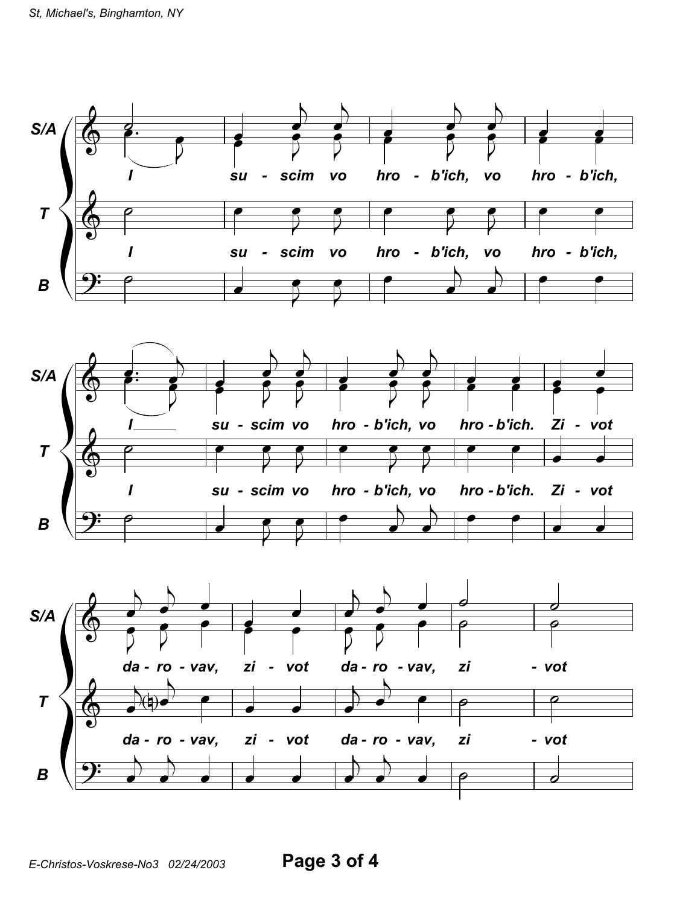